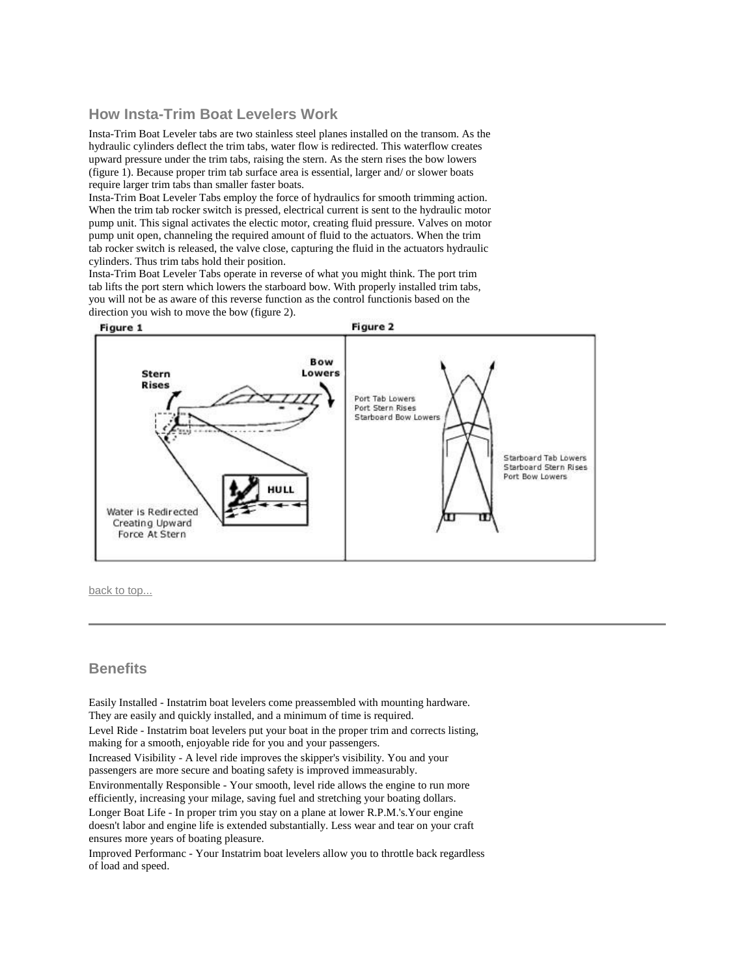### **How Insta-Trim Boat Levelers Work**

Insta-Trim Boat Leveler tabs are two stainless steel planes installed on the transom. As the hydraulic cylinders deflect the trim tabs, water flow is redirected. This waterflow creates upward pressure under the trim tabs, raising the stern. As the stern rises the bow lowers (figure 1). Because proper trim tab surface area is essential, larger and/ or slower boats require larger trim tabs than smaller faster boats.

Insta-Trim Boat Leveler Tabs employ the force of hydraulics for smooth trimming action. When the trim tab rocker switch is pressed, electrical current is sent to the hydraulic motor pump unit. This signal activates the electic motor, creating fluid pressure. Valves on motor pump unit open, channeling the required amount of fluid to the actuators. When the trim tab rocker switch is released, the valve close, capturing the fluid in the actuators hydraulic cylinders. Thus trim tabs hold their position.

Insta-Trim Boat Leveler Tabs operate in reverse of what you might think. The port trim tab lifts the port stern which lowers the starboard bow. With properly installed trim tabs, you will not be as aware of this reverse function as the control functionis based on the direction you wish to move the bow (figure 2).



[back to top...](http://www.insta-trim.com/manual.html#top)

#### **Benefits**

 Easily Installed - Instatrim boat levelers come preassembled with mounting hardware. They are easily and quickly installed, and a minimum of time is required.

 Level Ride - Instatrim boat levelers put your boat in the proper trim and corrects listing, making for a smooth, enjoyable ride for you and your passengers.

 Increased Visibility - A level ride improves the skipper's visibility. You and your passengers are more secure and boating safety is improved immeasurably.

 Environmentally Responsible - Your smooth, level ride allows the engine to run more efficiently, increasing your milage, saving fuel and stretching your boating dollars.

 Longer Boat Life - In proper trim you stay on a plane at lower R.P.M.'s.Your engine doesn't labor and engine life is extended substantially. Less wear and tear on your craft ensures more years of boating pleasure.

 Improved Performanc - Your Instatrim boat levelers allow you to throttle back regardless of load and speed.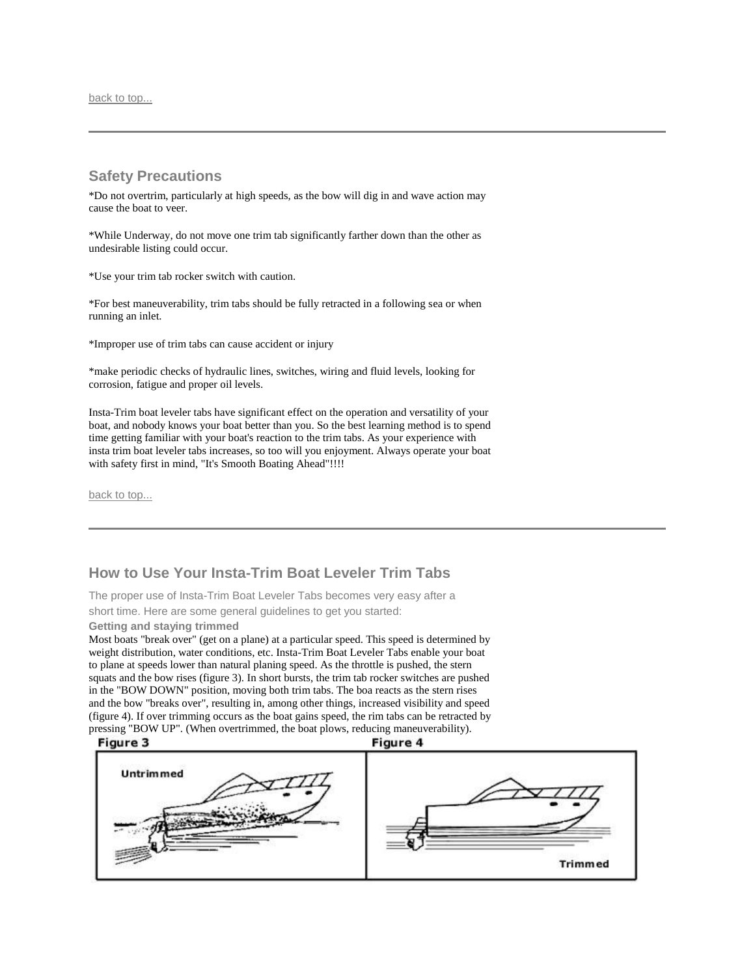[back to top...](http://www.insta-trim.com/manual.html#top)

### **Safety Precautions**

\*Do not overtrim, particularly at high speeds, as the bow will dig in and wave action may cause the boat to veer.

\*While Underway, do not move one trim tab significantly farther down than the other as undesirable listing could occur.

\*Use your trim tab rocker switch with caution.

\*For best maneuverability, trim tabs should be fully retracted in a following sea or when running an inlet.

\*Improper use of trim tabs can cause accident or injury

\*make periodic checks of hydraulic lines, switches, wiring and fluid levels, looking for corrosion, fatigue and proper oil levels.

Insta-Trim boat leveler tabs have significant effect on the operation and versatility of your boat, and nobody knows your boat better than you. So the best learning method is to spend time getting familiar with your boat's reaction to the trim tabs. As your experience with insta trim boat leveler tabs increases, so too will you enjoyment. Always operate your boat with safety first in mind, "It's Smooth Boating Ahead"!!!!

[back to top...](http://www.insta-trim.com/manual.html#top)

# **How to Use Your Insta-Trim Boat Leveler Trim Tabs**

The proper use of Insta-Trim Boat Leveler Tabs becomes very easy after a short time. Here are some general guidelines to get you started:

**Getting and staying trimmed**

Most boats "break over" (get on a plane) at a particular speed. This speed is determined by weight distribution, water conditions, etc. Insta-Trim Boat Leveler Tabs enable your boat to plane at speeds lower than natural planing speed. As the throttle is pushed, the stern squats and the bow rises (figure 3). In short bursts, the trim tab rocker switches are pushed in the "BOW DOWN" position, moving both trim tabs. The boa reacts as the stern rises and the bow "breaks over", resulting in, among other things, increased visibility and speed (figure 4). If over trimming occurs as the boat gains speed, the rim tabs can be retracted by pressing "BOW UP". (When overtrimmed, the boat plows, reducing maneuverability).

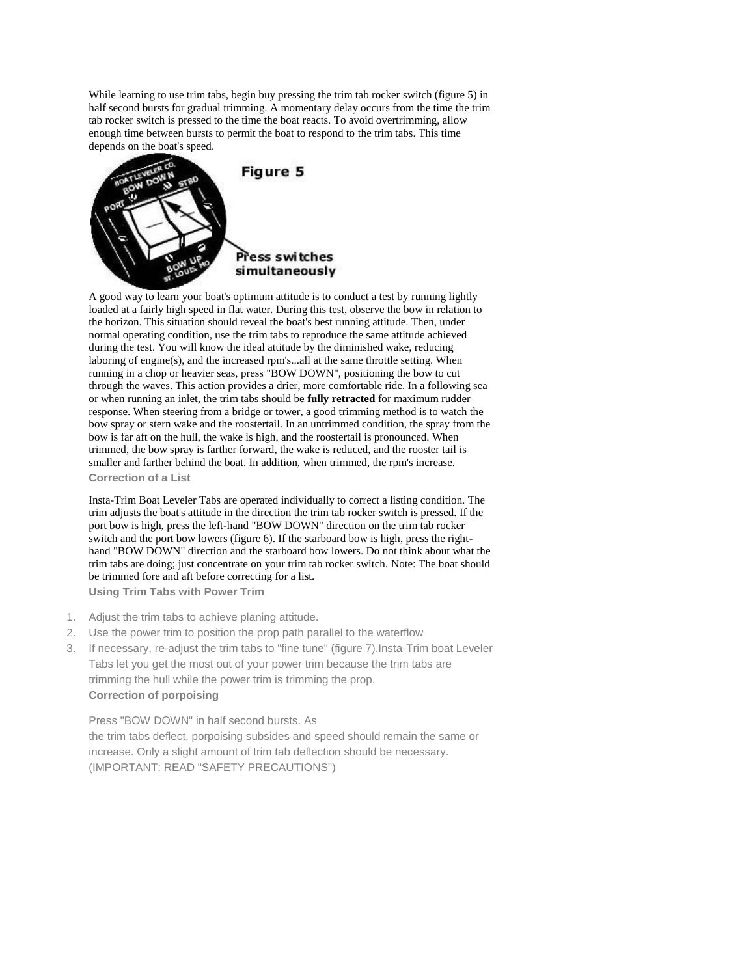While learning to use trim tabs, begin buy pressing the trim tab rocker switch (figure 5) in half second bursts for gradual trimming. A momentary delay occurs from the time the trim tab rocker switch is pressed to the time the boat reacts. To avoid overtrimming, allow enough time between bursts to permit the boat to respond to the trim tabs. This time depends on the boat's speed.



A good way to learn your boat's optimum attitude is to conduct a test by running lightly loaded at a fairly high speed in flat water. During this test, observe the bow in relation to the horizon. This situation should reveal the boat's best running attitude. Then, under normal operating condition, use the trim tabs to reproduce the same attitude achieved during the test. You will know the ideal attitude by the diminished wake, reducing laboring of engine(s), and the increased rpm's...all at the same throttle setting. When running in a chop or heavier seas, press "BOW DOWN", positioning the bow to cut through the waves. This action provides a drier, more comfortable ride. In a following sea or when running an inlet, the trim tabs should be **fully retracted** for maximum rudder response. When steering from a bridge or tower, a good trimming method is to watch the bow spray or stern wake and the roostertail. In an untrimmed condition, the spray from the bow is far aft on the hull, the wake is high, and the roostertail is pronounced. When trimmed, the bow spray is farther forward, the wake is reduced, and the rooster tail is smaller and farther behind the boat. In addition, when trimmed, the rpm's increase. **Correction of a List**

Insta-Trim Boat Leveler Tabs are operated individually to correct a listing condition. The trim adjusts the boat's attitude in the direction the trim tab rocker switch is pressed. If the port bow is high, press the left-hand "BOW DOWN" direction on the trim tab rocker switch and the port bow lowers (figure 6). If the starboard bow is high, press the righthand "BOW DOWN" direction and the starboard bow lowers. Do not think about what the trim tabs are doing; just concentrate on your trim tab rocker switch. Note: The boat should be trimmed fore and aft before correcting for a list. **Using Trim Tabs with Power Trim**

1. Adjust the trim tabs to achieve planing attitude.

- 2. Use the power trim to position the prop path parallel to the waterflow
- 3. If necessary, re-adjust the trim tabs to "fine tune" (figure 7).Insta-Trim boat Leveler Tabs let you get the most out of your power trim because the trim tabs are trimming the hull while the power trim is trimming the prop. **Correction of porpoising**

Press "BOW DOWN" in half second bursts. As the trim tabs deflect, porpoising subsides and speed should remain the same or increase. Only a slight amount of trim tab deflection should be necessary. (IMPORTANT: READ "SAFETY PRECAUTIONS")